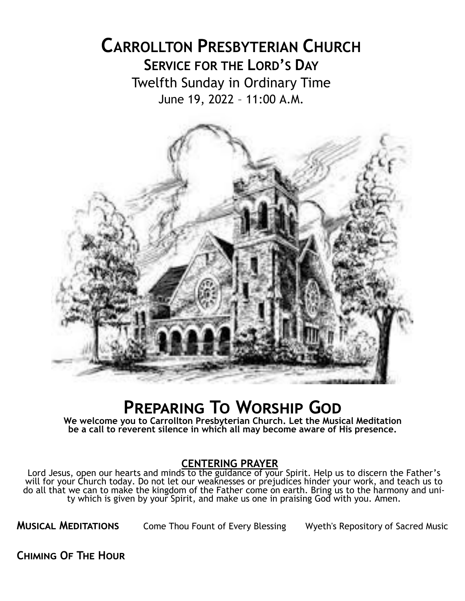# **CARROLLTON PRESBYTERIAN CHURCH SERVICE FOR THE LORD'S DAY** Twelfth Sunday in Ordinary Time June 19, 2022 – 11:00 A.M.



# **Preparing To Worship God**

**We welcome you to Carrollton Presbyterian Church. Let the Musical Meditation be a call to reverent silence in which all may become aware of His presence.**

#### **CENTERING PRAYER**

Lord Jesus, open our hearts and minds to the guidance of your Spirit. Help us to discern the Father's will for your Church today. Do not let our weaknesses or prejudices hinder your work, and teach us to do all that we can to make the kingdom of the Father come on earth. Bring us to the harmony and unity which is given by your Spirit, and make us one in praising God with you. Amen.

**MUSICAL MEDITATIONS** Come Thou Fount of Every Blessing Wyeth's Repository of Sacred Music

**Chiming Of The Hour**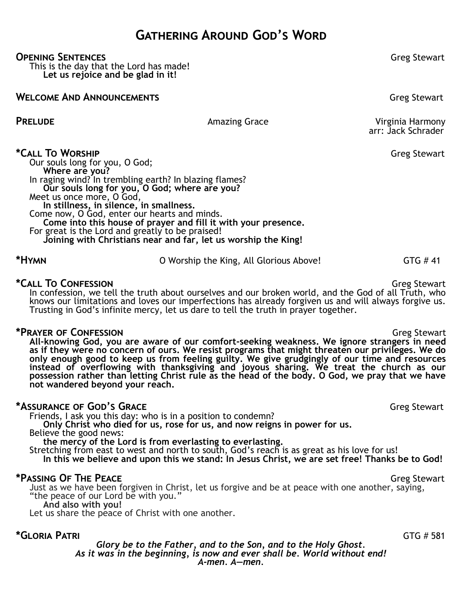## **Gathering Around God's Word**

#### **OPENING SENTENCES CONSERVERS CONSERVERS CONSERVERS Greg** Stewart

This is the day that the Lord has made! **Let us rejoice and be glad in it!**

#### **WELCOME AND ANNOUNCEMENTS** Greg Stewart

**PRELUDE Amazing Grace Amazing Grace Virginia Harmony** arr: Jack Schrader

**\*Call To Worship Figure 3.1 To Worship** *Greg Stewart* 

Our souls long for you, O God; **Where are you?**  In raging wind? In trembling earth? In blazing flames? **Our souls long for you, O God; where are you?**  Meet us once more, O God, **In stillness, in silence, in smallness.** Come now, O God, enter our hearts and minds. **Come into this house of prayer and fill it with your presence.** For great is the Lord and greatly to be praised! **Joining with Christians near and far, let us worship the King!**

\*HYMN **b** O Worship the King, All Glorious Above! GTG # 41

#### **\*Call To Confession** Greg Stewart

In confession, we tell the truth about ourselves and our broken world, and the God of all Truth, who knows our limitations and loves our imperfections has already forgiven us and will always forgive us. Trusting in God's infinite mercy, let us dare to tell the truth in prayer together.

#### **\*Prayer of Confession** Greg Stewart

**All-knowing God, you are aware of our comfort-seeking weakness. We ignore strangers in need as if they were no concern of ours. We resist programs that might threaten our privileges. We do only enough good to keep us from feeling guilty. We give grudgingly of our time and resources instead of overflowing with thanksgiving and joyous sharing. We treat the church as our possession rather than letting Christ rule as the head of the body. O God, we pray that we have not wandered beyond your reach.** 

#### **\*Assurance of God's Grace** Greg Stewart

Friends, I ask you this day: who is in a position to condemn?

**Only Christ who died for us, rose for us, and now reigns in power for us.**

Believe the good news:

**the mercy of the Lord is from everlasting to everlasting.**

Stretching from east to west and north to south, God's reach is as great as his love for us! **In this we believe and upon this we stand: In Jesus Christ, we are set free! Thanks be to God!** 

#### **\*Passing Of THE PEACE**  $\bullet$  **Greg Stewart**

Just as we have been forgiven in Christ, let us forgive and be at peace with one another, saying, "the peace of our Lord be with you."

**And also with you!**

Let us share the peace of Christ with one another.

#### **\*Gloria Patri** GTG # 581

*Glory be to the Father, and to the Son, and to the Holy Ghost. As it was in the beginning, is now and ever shall be. World without end! A-men. A—men.*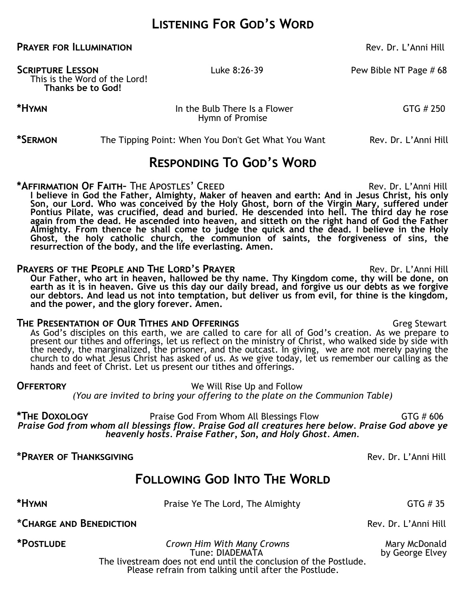## **Listening For God's Word**

#### **PRAYER FOR ILLUMINATION Rev. Dr. L'Anni Hill**

This is the Word of the Lord! **Thanks be to God!**

**SCRIPTURE LESSON** Luke 8:26-39 Pew Bible NT Page # 68

**\*HYMN In the Bulb There Is a Flower In the Bulb There Is a Flower GTG # 250** Hymn of Promise

**\*SERMON** The Tipping Point: When You Don't Get What You Want Rev. Dr. L'Anni Hill

## **Responding To God's Word**

**\*AFFIRMATION OF FAITH-** THE APOSTLES' CREED Rev. Dr. L'Anni Hill **I believe in God the Father, Almighty, Maker of heaven and earth: And in Jesus Christ, his only Son, our Lord. Who was conceived by the Holy Ghost, born of the Virgin Mary, suffered under Pontius Pilate, was crucified, dead and buried. He descended into hell. The third day he rose again from the dead. He ascended into heaven, and sitteth on the right hand of God the Father**  Almighty. From thence he shall come to judge the quick and the dead. I believe in the Holy Ghost, the holy catholic church, the communion of saints, the forgiveness of sins, the **resurrection of the body, and the life everlasting. Amen.**

#### **PRAYERS OF THE PEOPLE AND THE LORD'S PRAYER <b>EXAMPLE 2008** Rev. Dr. L'Anni Hill

**Our Father, who art in heaven, hallowed be thy name. Thy Kingdom come, thy will be done, on earth as it is in heaven. Give us this day our daily bread, and forgive us our debts as we forgive our debtors. And lead us not into temptation, but deliver us from evil, for thine is the kingdom, and the power, and the glory forever. Amen.**

#### **THE PRESENTATION OF OUR TITHES AND OFFERINGS GLACIAL STATES AND STATES AND STATES AND STATES STATES AND STATES AND STATES AND STATES AND STATES AND STATES AND STATES AND STATES AND STATES AND STATES AND STATES AND STATE**

As God's disciples on this earth, we are called to care for all of God's creation. As we prepare to present our tithes and offerings, let us reflect on the ministry of Christ, who walked side by side with the needy, the marginalized, the prisoner, and the outcast. In giving, we are not merely paying the church to do what Jesus Christ has asked of us. As we give today, let us remember our calling as the hands and feet of Christ. Let us present our tithes and offerings.

**OFFERTORY We Will Rise Up and Follow** *(You are invited to bring your offering to the plate on the Communion Table)*

**\*The Doxology** Praise God From Whom All Blessings FlowGTG # 606 *Praise God from whom all blessings flow. Praise God all creatures here below. Praise God above ye heavenly hosts. Praise Father, Son, and Holy Ghost. Amen.*

**\*Prayer of Thanksgiving** Rev. Dr. L'Anni Hill

# **Following God Into The World**

**\*Hymn** GTG # 35

**\*Charge and Benediction** Rev. Dr. L'Anni Hill

**\*Postlude** *Crown Him With Many Crowns* Mary McDonald

Tune: DIADEMATA by George Elvey The livestream does not end until the conclusion of the Postlude. Please refrain from talking until after the Postlude.